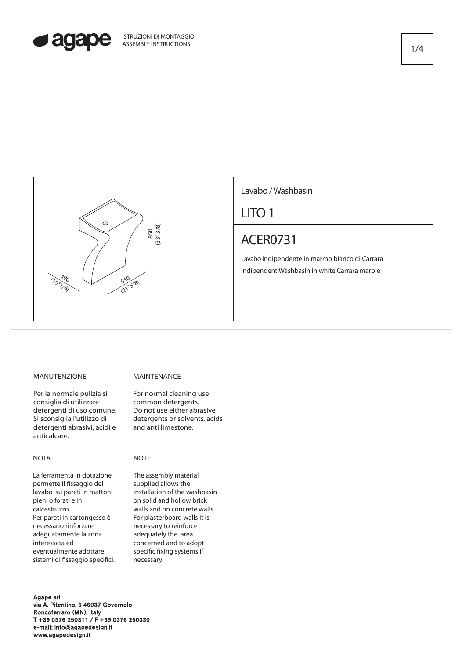



### MANUTENZIONE

Per la normale pulizia si consiglia di utilizzare detergenti di uso comune. Si sconsiglia l'utilizzo di detergenti abrasivi, acidi e anticalcare.

#### **NOTA**

La ferramenta in dotazione permette Il fissaggio del lavabo su pareti in mattoni pieni o forati e in calcestruzzo. Per pareti in cartongesso è necessario rinforzare adeguatamente la zona interessata ed eventualmente adottare sistemi di fissaggio specifici.

## Agape srl

via A. Pitentino, 6 46037 Governolo Roncoferraro (MN), Italy T +39 0376 250311 / F +39 0376 250330 e-mail: info@agapedesign.it www.agapedesign.it

# MAINTENANCE

For normal cleaning use common detergents. Do not use either abrasive detergents or solvents, acids and anti limestone.

#### **NOTE**

The assembly material supplied allows the installation of the washbasin on solid and hollow brick walls and on concrete walls. For plasterboard walls it is necessary to reinforce adequately the area concerned and to adopt specific fixing systems if necessary.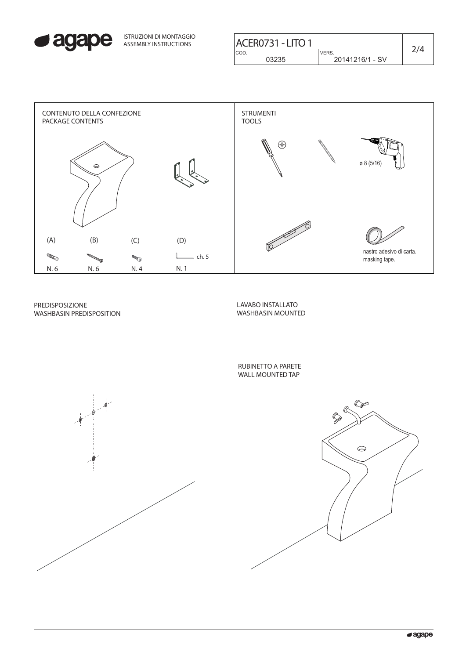

| ISTRUZIONI DI MONTAGGIO<br><b>ASSEMBLY INSTRUCTIONS</b> | ACER0731 - LITO 1        |                                |  |
|---------------------------------------------------------|--------------------------|--------------------------------|--|
|                                                         | CO <sub>D</sub><br>03235 | <b>VERS</b><br>20141216/1 - SV |  |



PREDISPOSIZIONE WASHBASIN PREDISPOSITION LAVABO INSTALLATO WASHBASIN MOUNTED

RUBINETTO A PARETE WALL MOUNTED TAP



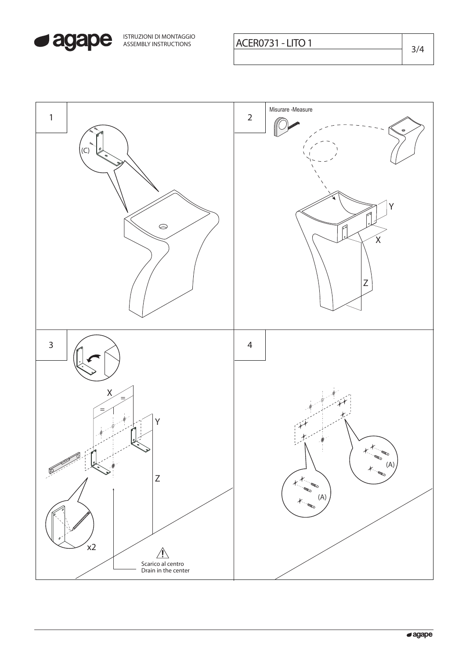